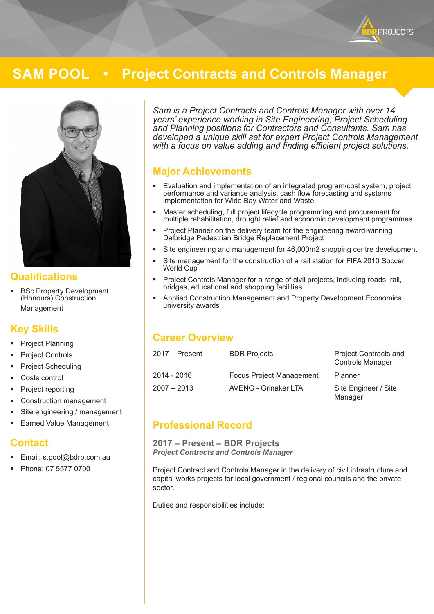

# **SAM POOL • Project Contracts and Controls Manager**



### **Qualifications**

 BSc Property Development (Honours) Construction Management

# **Key Skills**

- Project Planning
- Project Controls
- Project Scheduling
- Costs control
- Project reporting
- Construction management
- Site engineering / management
- Earned Value Management

### **Contact**

- Email: s.pool@bdrp.com.au
- Phone: 07 5577 0700

*Sam is a Project Contracts and Controls Manager with over 14 years' experience working in Site Engineering, Project Scheduling and Planning positions for Contractors and Consultants. Sam has developed a unique skill set for expert Project Controls Management with a focus on value adding and finding efficient project solutions.*

# **Major Achievements**

- Evaluation and implementation of an integrated program/cost system, project performance and variance analysis, cash flow forecasting and systems implementation for Wide Bay Water and Waste
- Master scheduling, full project lifecycle programming and procurement for multiple rehabilitation, drought relief and economic development programmes
- **Project Planner on the delivery team for the engineering award-winning** Dalbridge Pedestrian Bridge Replacement Project
- Site engineering and management for 46,000m2 shopping centre development
- Site management for the construction of a rail station for FIFA 2010 Soccer World Cup
- **Project Controls Manager for a range of civil projects, including roads, rail,** bridges, educational and shopping facilities
- Applied Construction Management and Property Development Economics university awards

# **Career Overview**

| 2017 – Present | <b>BDR Projects</b>             | <b>Project Contracts and</b><br><b>Controls Manager</b> |
|----------------|---------------------------------|---------------------------------------------------------|
| 2014 - 2016    | <b>Focus Project Management</b> | Planner                                                 |
| 2007 – 2013    | AVENG - Grinaker LTA            | Site Engineer / Site<br>Manager                         |

# **Professional Record**

**2017 – Present – BDR Projects** *Project Contracts and Controls Manager*

Project Contract and Controls Manager in the delivery of civil infrastructure and capital works projects for local government / regional councils and the private sector.

Duties and responsibilities include: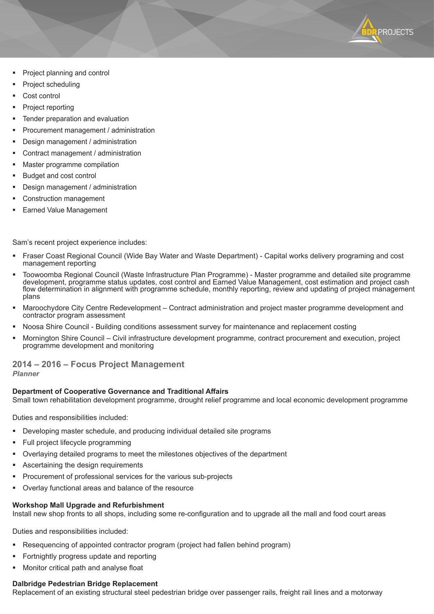

- Project planning and control
- Project scheduling
- Cost control
- Project reporting
- Tender preparation and evaluation
- Procurement management / administration
- Design management / administration
- Contract management / administration
- Master programme compilation
- Budget and cost control
- Design management / administration
- Construction management
- Earned Value Management

Sam's recent project experience includes:

- Fraser Coast Regional Council (Wide Bay Water and Waste Department) Capital works delivery programing and cost management reporting
- Toowoomba Regional Council (Waste Infrastructure Plan Programme) Master programme and detailed site programme development, programme status updates, cost control and Earned Value Management, cost estimation and project cash flow determination in alignment with programme schedule, monthly reporting, review and updating of project management plans
- Maroochydore City Centre Redevelopment Contract administration and project master programme development and contractor program assessment
- Noosa Shire Council Building conditions assessment survey for maintenance and replacement costing
- Mornington Shire Council Civil infrastructure development programme, contract procurement and execution, project programme development and monitoring

#### **2014 – 2016 – Focus Project Management** *Planner*

#### **Department of Cooperative Governance and Traditional Affairs**

Small town rehabilitation development programme, drought relief programme and local economic development programme

Duties and responsibilities included:

- Developing master schedule, and producing individual detailed site programs
- Full project lifecycle programming
- Overlaying detailed programs to meet the milestones objectives of the department
- Ascertaining the design requirements
- Procurement of professional services for the various sub-projects
- Overlay functional areas and balance of the resource

#### **Workshop Mall Upgrade and Refurbishment**

Install new shop fronts to all shops, including some re-configuration and to upgrade all the mall and food court areas

Duties and responsibilities included:

- Resequencing of appointed contractor program (project had fallen behind program)
- Fortnightly progress update and reporting
- Monitor critical path and analyse float

### **Dalbridge Pedestrian Bridge Replacement**

Replacement of an existing structural steel pedestrian bridge over passenger rails, freight rail lines and a motorway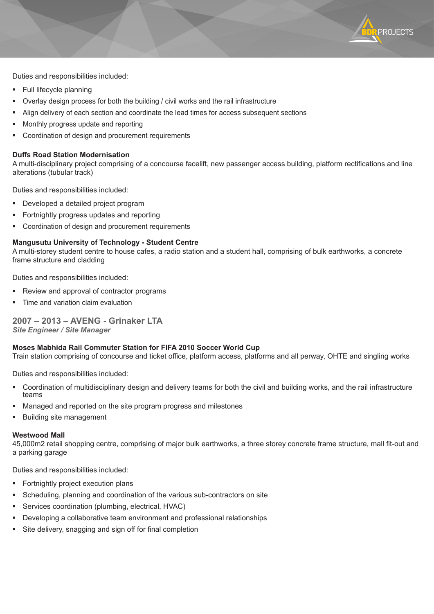Duties and responsibilities included:

- **Full lifecycle planning**
- Overlay design process for both the building / civil works and the rail infrastructure
- Align delivery of each section and coordinate the lead times for access subsequent sections
- Monthly progress update and reporting
- Coordination of design and procurement requirements

#### **Duffs Road Station Modernisation**

A multi-disciplinary project comprising of a concourse facelift, new passenger access building, platform rectifications and line alterations (tubular track)

PROJECTS

Duties and responsibilities included:

- Developed a detailed project program
- **Fortnightly progress updates and reporting**
- **Coordination of design and procurement requirements**

#### **Mangusutu University of Technology - Student Centre**

A multi-storey student centre to house cafes, a radio station and a student hall, comprising of bulk earthworks, a concrete frame structure and cladding

Duties and responsibilities included:

- Review and approval of contractor programs
- Time and variation claim evaluation

### **2007 – 2013 – AVENG - Grinaker LTA**

*Site Engineer / Site Manager*

#### **Moses Mabhida Rail Commuter Station for FIFA 2010 Soccer World Cup**

Train station comprising of concourse and ticket office, platform access, platforms and all perway, OHTE and singling works

Duties and responsibilities included:

- Coordination of multidisciplinary design and delivery teams for both the civil and building works, and the rail infrastructure teams
- Managed and reported on the site program progress and milestones
- Building site management

#### **Westwood Mall**

45,000m2 retail shopping centre, comprising of major bulk earthworks, a three storey concrete frame structure, mall fit-out and a parking garage

Duties and responsibilities included:

- **Fortnightly project execution plans**
- Scheduling, planning and coordination of the various sub-contractors on site
- Services coordination (plumbing, electrical, HVAC)
- Developing a collaborative team environment and professional relationships
- Site delivery, snagging and sign off for final completion